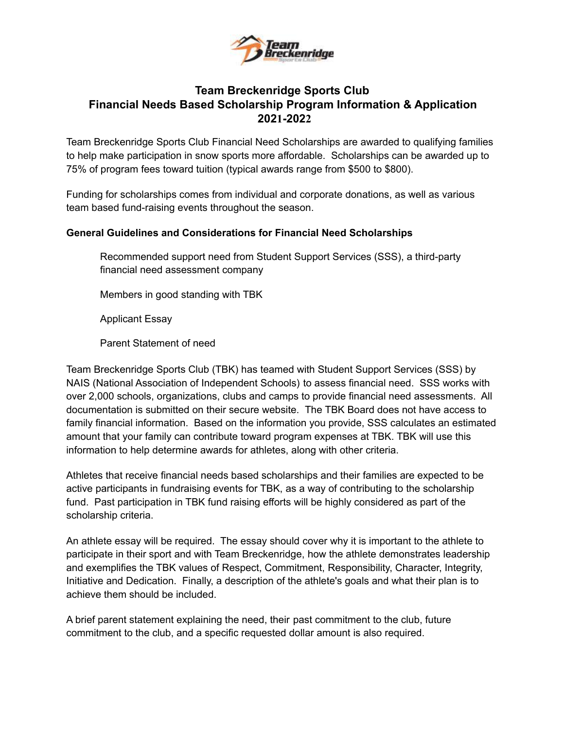

### **Team Breckenridge Sports Club Financial Needs Based Scholarship Program Information & Application 2021-2022**

Team Breckenridge Sports Club Financial Need Scholarships are awarded to qualifying families to help make participation in snow sports more affordable. Scholarships can be awarded up to 75% of program fees toward tuition (typical awards range from \$500 to \$800).

Funding for scholarships comes from individual and corporate donations, as well as various team based fund-raising events throughout the season.

#### **General Guidelines and Considerations for Financial Need Scholarships**

Recommended support need from Student Support Services (SSS), a third-party financial need assessment company

Members in good standing with TBK

Applicant Essay

Parent Statement of need

Team Breckenridge Sports Club (TBK) has teamed with Student Support Services (SSS) by NAIS (National Association of Independent Schools) to assess financial need. SSS works with over 2,000 schools, organizations, clubs and camps to provide financial need assessments. All documentation is submitted on their secure website. The TBK Board does not have access to family financial information. Based on the information you provide, SSS calculates an estimated amount that your family can contribute toward program expenses at TBK. TBK will use this information to help determine awards for athletes, along with other criteria.

Athletes that receive financial needs based scholarships and their families are expected to be active participants in fundraising events for TBK, as a way of contributing to the scholarship fund. Past participation in TBK fund raising efforts will be highly considered as part of the scholarship criteria.

An athlete essay will be required. The essay should cover why it is important to the athlete to participate in their sport and with Team Breckenridge, how the athlete demonstrates leadership and exemplifies the TBK values of Respect, Commitment, Responsibility, Character, Integrity, Initiative and Dedication. Finally, a description of the athlete's goals and what their plan is to achieve them should be included.

A brief parent statement explaining the need, their past commitment to the club, future commitment to the club, and a specific requested dollar amount is also required.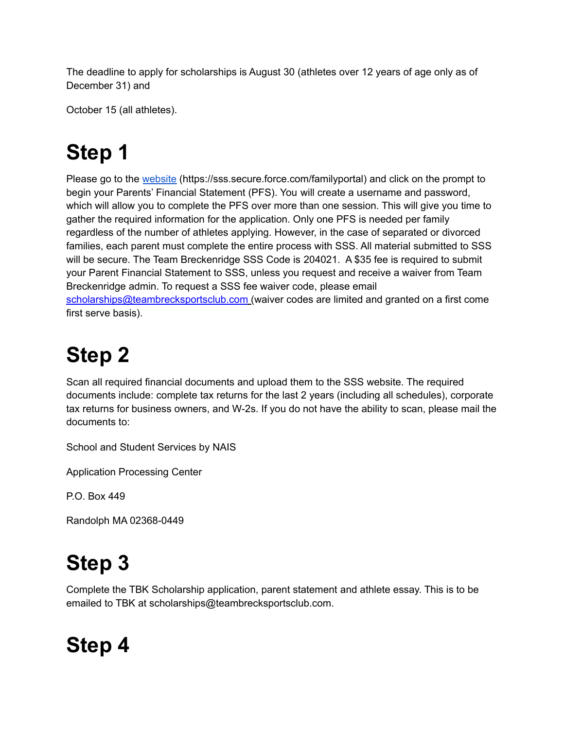The deadline to apply for scholarships is August 30 (athletes over 12 years of age only as of December 31) and

October 15 (all athletes).

# **Step 1**

Please go to the [website](https://sssandtadsfa.force.com/familyportal/FamilyLogin?startURL=%2Ffamilyportal) (https://sss.secure.force.com/familyportal) and click on the prompt to begin your Parents' Financial Statement (PFS). You will create a username and password, which will allow you to complete the PFS over more than one session. This will give you time to gather the required information for the application. Only one PFS is needed per family regardless of the number of athletes applying. However, in the case of separated or divorced families, each parent must complete the entire process with SSS. All material submitted to SSS will be secure. The Team Breckenridge SSS Code is 204021. A \$35 fee is required to submit your Parent Financial Statement to SSS, unless you request and receive a waiver from Team Breckenridge admin. To request a SSS fee waiver code, please email scholarships@teambrecksportsclub.com (waiver codes are limited and granted on a first come first serve basis).

# **Step 2**

Scan all required financial documents and upload them to the SSS website. The required documents include: complete tax returns for the last 2 years (including all schedules), corporate tax returns for business owners, and W-2s. If you do not have the ability to scan, please mail the documents to:

School and Student Services by NAIS

Application Processing Center

P.O. Box 449

Randolph MA 02368-0449

# **Step 3**

Complete the TBK Scholarship application, parent statement and athlete essay. This is to be emailed to TBK at scholarships@teambrecksportsclub.com.

# **Step 4**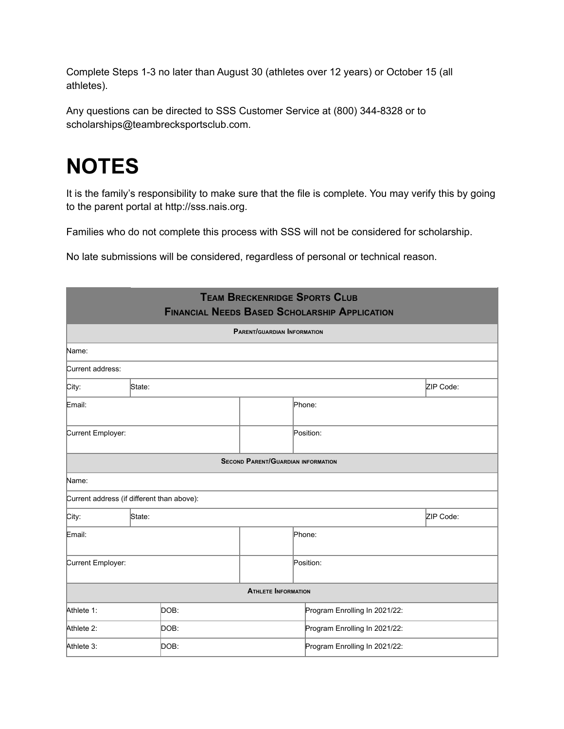Complete Steps 1-3 no later than August 30 (athletes over 12 years) or October 15 (all athletes).

Any questions can be directed to SSS Customer Service at (800) 344-8328 or to scholarships@teambrecksportsclub.com.

# **NOTES**

It is the family's responsibility to make sure that the file is complete. You may verify this by going to the parent portal at http://sss.nais.org.

Families who do not complete this process with SSS will not be considered for scholarship.

No late submissions will be considered, regardless of personal or technical reason.

| <b>TEAM BRECKENRIDGE SPORTS CLUB</b><br><b>FINANCIAL NEEDS BASED SCHOLARSHIP APPLICATION</b><br><b>PARENT/GUARDIAN INFORMATION</b> |                                            |                                           |                               |                               |  |
|------------------------------------------------------------------------------------------------------------------------------------|--------------------------------------------|-------------------------------------------|-------------------------------|-------------------------------|--|
|                                                                                                                                    |                                            |                                           |                               |                               |  |
| Current address:                                                                                                                   |                                            |                                           |                               |                               |  |
| City:                                                                                                                              | State:                                     |                                           |                               | ZIP Code:                     |  |
| Email:                                                                                                                             |                                            |                                           | Phone:                        |                               |  |
| Current Employer:                                                                                                                  |                                            |                                           | Position:                     |                               |  |
|                                                                                                                                    |                                            | <b>SECOND PARENT/GUARDIAN INFORMATION</b> |                               |                               |  |
| Name:                                                                                                                              |                                            |                                           |                               |                               |  |
|                                                                                                                                    | Current address (if different than above): |                                           |                               |                               |  |
| City:                                                                                                                              | State:                                     |                                           |                               | ZIP Code:                     |  |
| Email:                                                                                                                             |                                            |                                           | Phone:                        |                               |  |
| Current Employer:                                                                                                                  |                                            |                                           | Position:                     |                               |  |
|                                                                                                                                    |                                            | <b>ATHLETE INFORMATION</b>                |                               |                               |  |
| Athlete 1:                                                                                                                         | DOB:                                       |                                           | Program Enrolling In 2021/22: |                               |  |
| Athlete 2:                                                                                                                         | DOB:                                       |                                           |                               | Program Enrolling In 2021/22: |  |
| Athlete 3:                                                                                                                         | DOB:                                       |                                           | Program Enrolling In 2021/22: |                               |  |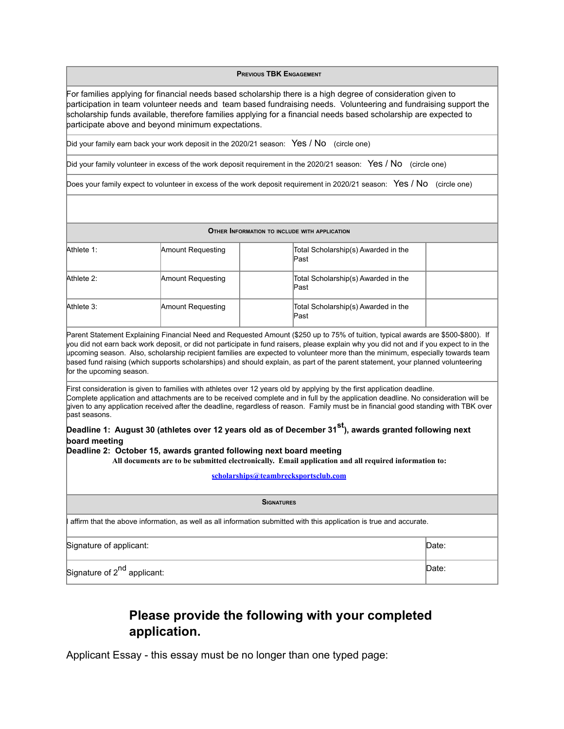**PREVIOUS TBK ENGAGEMENT**

For families applying for financial needs based scholarship there is a high degree of consideration given to participation in team volunteer needs and team based fundraising needs. Volunteering and fundraising support the scholarship funds available, therefore families applying for a financial needs based scholarship are expected to participate above and beyond minimum expectations.

Did your family earn back your work deposit in the 2020/21 season: Yes / No (circle one)

Did your family volunteer in excess of the work deposit requirement in the 2020/21 season: Yes / No (circle one)

Does your family expect to volunteer in excess of the work deposit requirement in 2020/21 season: Yes / No (circle one)

| OTHER INFORMATION TO INCLUDE WITH APPLICATION    |                                                                     |                                                                                                                                                                                                                                                                                                                                                                                                                                                                                                                                                 |  |  |
|--------------------------------------------------|---------------------------------------------------------------------|-------------------------------------------------------------------------------------------------------------------------------------------------------------------------------------------------------------------------------------------------------------------------------------------------------------------------------------------------------------------------------------------------------------------------------------------------------------------------------------------------------------------------------------------------|--|--|
| Athlete 1:                                       | Amount Requesting                                                   | Total Scholarship(s) Awarded in the<br>Past                                                                                                                                                                                                                                                                                                                                                                                                                                                                                                     |  |  |
| Athlete 2:                                       | Amount Requesting                                                   | Total Scholarship(s) Awarded in the<br>Past                                                                                                                                                                                                                                                                                                                                                                                                                                                                                                     |  |  |
| Athlete 3:                                       | Amount Requesting                                                   | Total Scholarship(s) Awarded in the<br>Past                                                                                                                                                                                                                                                                                                                                                                                                                                                                                                     |  |  |
| for the upcoming season.                         |                                                                     | Parent Statement Explaining Financial Need and Requested Amount (\$250 up to 75% of tuition, typical awards are \$500-\$800). If<br>you did not earn back work deposit, or did not participate in fund raisers, please explain why you did not and if you expect to in the<br>upcoming season. Also, scholarship recipient families are expected to volunteer more than the minimum, especially towards team<br>based fund raising (which supports scholarships) and should explain, as part of the parent statement, your planned volunteering |  |  |
| bast seasons.                                    |                                                                     | First consideration is given to families with athletes over 12 years old by applying by the first application deadline.<br>Complete application and attachments are to be received complete and in full by the application deadline. No consideration will be<br>given to any application received after the deadline, regardless of reason. Family must be in financial good standing with TBK over                                                                                                                                            |  |  |
| board meeting                                    | Deadline 2: October 15, awards granted following next board meeting | Deadline 1: August 30 (athletes over 12 years old as of December 31 <sup>st</sup> ), awards granted following next<br>All documents are to be submitted electronically. Email application and all required information to:<br>scholarships@teambrecksportsclub.com                                                                                                                                                                                                                                                                              |  |  |
|                                                  |                                                                     | <b>SIGNATURES</b>                                                                                                                                                                                                                                                                                                                                                                                                                                                                                                                               |  |  |
|                                                  |                                                                     |                                                                                                                                                                                                                                                                                                                                                                                                                                                                                                                                                 |  |  |
|                                                  |                                                                     | affirm that the above information, as well as all information submitted with this application is true and accurate.                                                                                                                                                                                                                                                                                                                                                                                                                             |  |  |
| Signature of applicant:                          |                                                                     | Date:                                                                                                                                                                                                                                                                                                                                                                                                                                                                                                                                           |  |  |
| Date:<br>Signature of 2 <sup>nd</sup> applicant: |                                                                     |                                                                                                                                                                                                                                                                                                                                                                                                                                                                                                                                                 |  |  |
|                                                  |                                                                     |                                                                                                                                                                                                                                                                                                                                                                                                                                                                                                                                                 |  |  |

### **Please provide the following with your completed application.**

Applicant Essay - this essay must be no longer than one typed page: